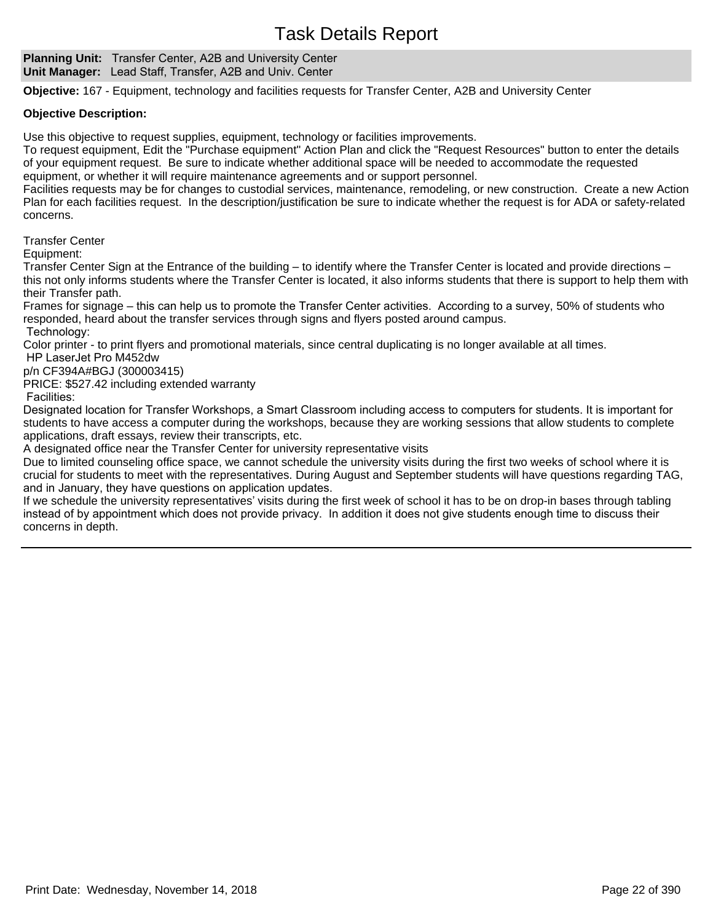**Planning Unit:** Transfer Center, A2B and University Center **Unit Manager:** Lead Staff, Transfer, A2B and Univ. Center

**Objective:** 167 - Equipment, technology and facilities requests for Transfer Center, A2B and University Center

## **Objective Description:**

Use this objective to request supplies, equipment, technology or facilities improvements.

To request equipment, Edit the "Purchase equipment" Action Plan and click the "Request Resources" button to enter the details of your equipment request. Be sure to indicate whether additional space will be needed to accommodate the requested equipment, or whether it will require maintenance agreements and or support personnel.

Facilities requests may be for changes to custodial services, maintenance, remodeling, or new construction. Create a new Action Plan for each facilities request. In the description/justification be sure to indicate whether the request is for ADA or safety-related concerns.

Transfer Center

Equipment:

Transfer Center Sign at the Entrance of the building – to identify where the Transfer Center is located and provide directions – this not only informs students where the Transfer Center is located, it also informs students that there is support to help them with their Transfer path.

Frames for signage – this can help us to promote the Transfer Center activities. According to a survey, 50% of students who responded, heard about the transfer services through signs and flyers posted around campus. Technology:

Color printer - to print flyers and promotional materials, since central duplicating is no longer available at all times.

HP LaserJet Pro M452dw

p/n CF394A#BGJ (300003415)

PRICE: \$527.42 including extended warranty

Facilities:

Designated location for Transfer Workshops, a Smart Classroom including access to computers for students. It is important for students to have access a computer during the workshops, because they are working sessions that allow students to complete applications, draft essays, review their transcripts, etc.

A designated office near the Transfer Center for university representative visits

Due to limited counseling office space, we cannot schedule the university visits during the first two weeks of school where it is crucial for students to meet with the representatives. During August and September students will have questions regarding TAG, and in January, they have questions on application updates.

If we schedule the university representatives' visits during the first week of school it has to be on drop-in bases through tabling instead of by appointment which does not provide privacy. In addition it does not give students enough time to discuss their concerns in depth.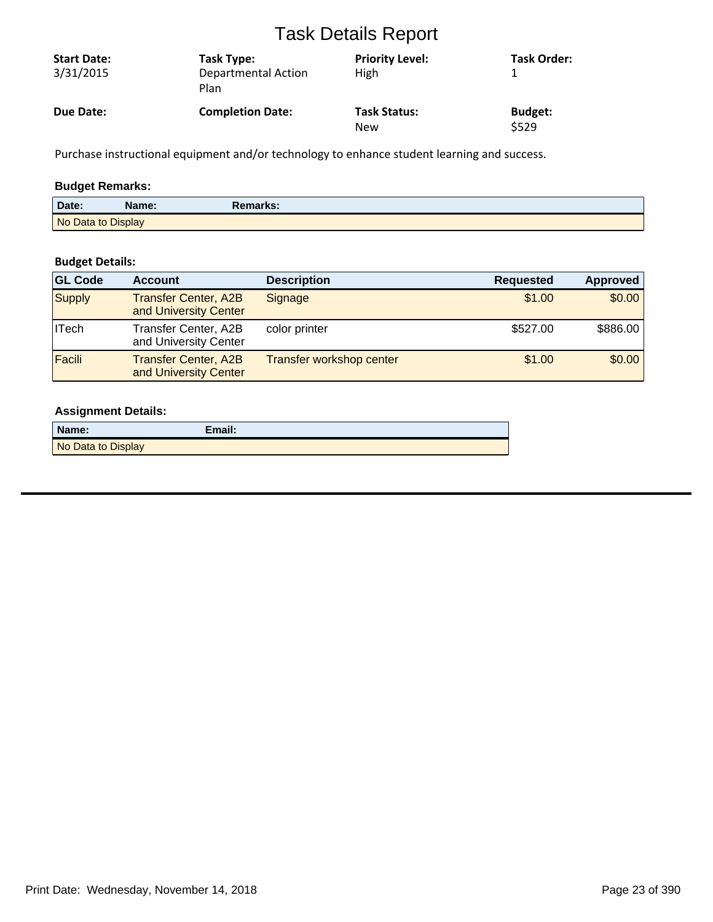| <b>Start Date:</b><br>3/31/2015 | Task Type:<br>Departmental Action<br>Plan | <b>Priority Level:</b><br>High | <b>Task Order:</b> |
|---------------------------------|-------------------------------------------|--------------------------------|--------------------|
| Due Date:                       | <b>Completion Date:</b>                   | <b>Task Status:</b>            | <b>Budget:</b>     |
|                                 |                                           | New                            | \$529              |

Purchase instructional equipment and/or technology to enhance student learning and success.

# **Budget Remarks:**

| Date:              | Name: | Remarks: |  |
|--------------------|-------|----------|--|
| No Data to Display |       |          |  |

# **Budget Details:**

| <b>GL Code</b> | <b>Account</b>                                       | <b>Description</b>       | <b>Requested</b> | <b>Approved</b> |
|----------------|------------------------------------------------------|--------------------------|------------------|-----------------|
| Supply         | <b>Transfer Center, A2B</b><br>and University Center | Signage                  | \$1.00           | \$0.00          |
| <b>ITech</b>   | Transfer Center, A2B<br>and University Center        | color printer            | \$527.00         | \$886.00        |
| Facili         | <b>Transfer Center, A2B</b><br>and University Center | Transfer workshop center | \$1.00           | \$0.00          |

| Name:              | Email: |
|--------------------|--------|
| No Data to Display |        |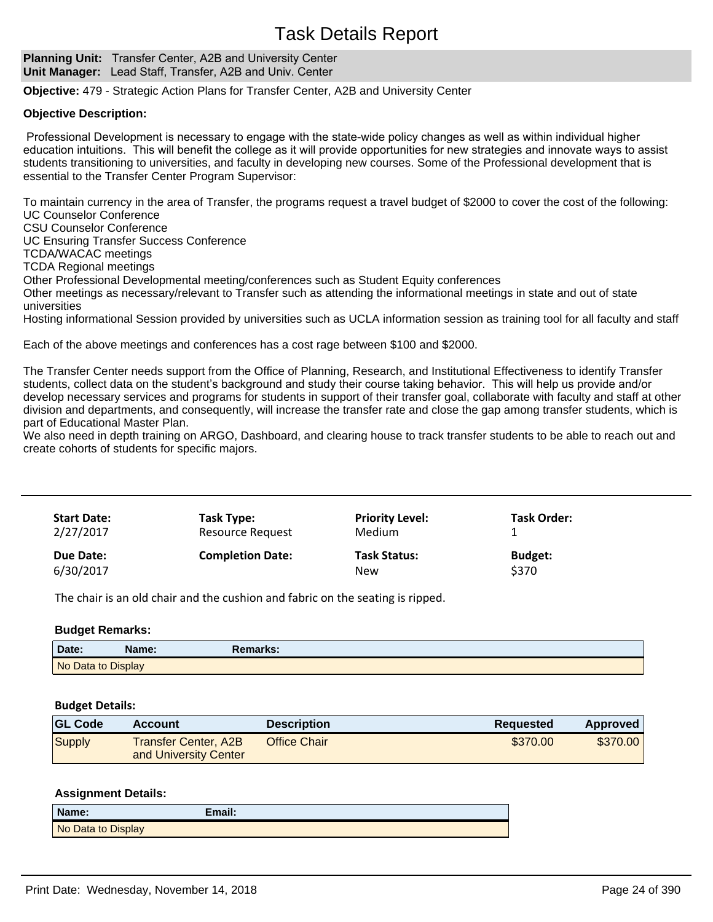**Planning Unit:** Transfer Center, A2B and University Center **Unit Manager:** Lead Staff, Transfer, A2B and Univ. Center

**Objective:** 479 - Strategic Action Plans for Transfer Center, A2B and University Center

## **Objective Description:**

Professional Development is necessary to engage with the state-wide policy changes as well as within individual higher education intuitions. This will benefit the college as it will provide opportunities for new strategies and innovate ways to assist students transitioning to universities, and faculty in developing new courses. Some of the Professional development that is essential to the Transfer Center Program Supervisor:

To maintain currency in the area of Transfer, the programs request a travel budget of \$2000 to cover the cost of the following: UC Counselor Conference

CSU Counselor Conference

UC Ensuring Transfer Success Conference

TCDA/WACAC meetings

TCDA Regional meetings

Other Professional Developmental meeting/conferences such as Student Equity conferences

Other meetings as necessary/relevant to Transfer such as attending the informational meetings in state and out of state universities

Hosting informational Session provided by universities such as UCLA information session as training tool for all faculty and staff

Each of the above meetings and conferences has a cost rage between \$100 and \$2000.

The Transfer Center needs support from the Office of Planning, Research, and Institutional Effectiveness to identify Transfer students, collect data on the student's background and study their course taking behavior. This will help us provide and/or develop necessary services and programs for students in support of their transfer goal, collaborate with faculty and staff at other division and departments, and consequently, will increase the transfer rate and close the gap among transfer students, which is part of Educational Master Plan.

We also need in depth training on ARGO, Dashboard, and clearing house to track transfer students to be able to reach out and create cohorts of students for specific majors.

| <b>Start Date:</b><br>2/27/2017 | Task Type:<br><b>Resource Request</b> | <b>Priority Level:</b><br><b>Medium</b> | <b>Task Order:</b>      |  |
|---------------------------------|---------------------------------------|-----------------------------------------|-------------------------|--|
| Due Date:<br>6/30/2017          | <b>Completion Date:</b>               | <b>Task Status:</b><br>New              | <b>Budget:</b><br>\$370 |  |

The chair is an old chair and the cushion and fabric on the seating is ripped.

# **Budget Remarks:**

| Date:              | lame: | marks: |  |
|--------------------|-------|--------|--|
| No Data to Display |       |        |  |

### **Budget Details:**

| <b>GL Code</b> | <b>Account</b>                                | <b>Description</b> | <b>Requested</b> | <b>Approved</b> |
|----------------|-----------------------------------------------|--------------------|------------------|-----------------|
| Supply         | Transfer Center, A2B<br>and University Center | Office Chair       | \$370.00         | \$370.00        |

| Name:              | Email: |
|--------------------|--------|
| No Data to Display |        |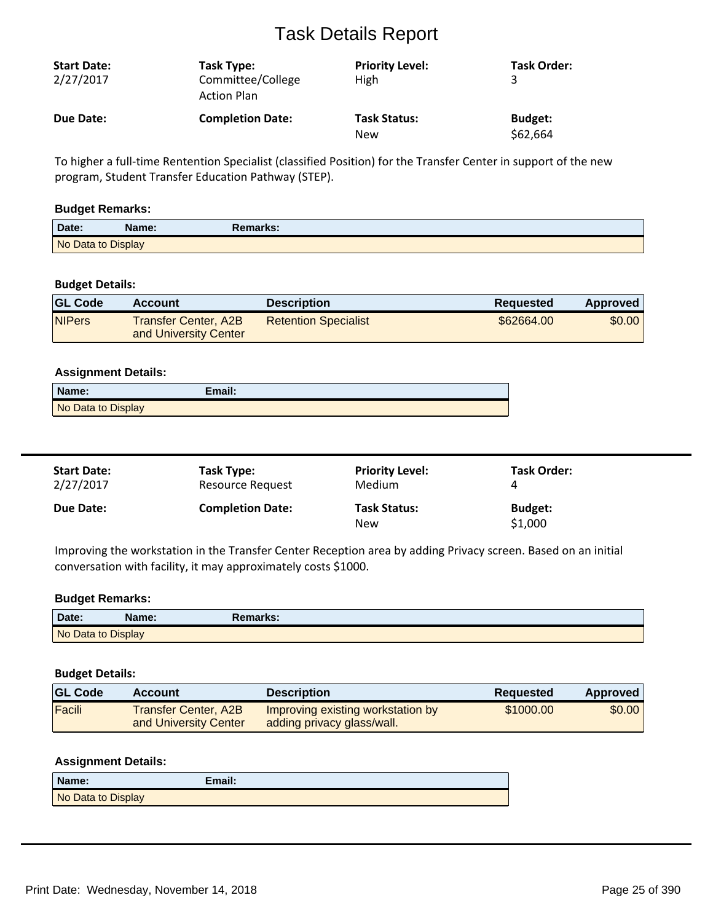| <b>Start Date:</b><br>2/27/2017 | Task Type:<br>Committee/College<br><b>Action Plan</b> | <b>Priority Level:</b><br>High | <b>Task Order:</b> |
|---------------------------------|-------------------------------------------------------|--------------------------------|--------------------|
| Due Date:                       | <b>Completion Date:</b>                               | <b>Task Status:</b>            | <b>Budget:</b>     |
|                                 |                                                       | New                            | \$62,664           |

To higher a full-time Rentention Specialist (classified Position) for the Transfer Center in support of the new program, Student Transfer Education Pathway (STEP).

## **Budget Remarks:**

| Date:              | Name: | Remarks: |  |
|--------------------|-------|----------|--|
| No Data to Display |       |          |  |

# **Budget Details:**

| <b>GL Code</b> | Account                                       | <b>Description</b>          | Reguested  | Approved |
|----------------|-----------------------------------------------|-----------------------------|------------|----------|
| <b>NIPers</b>  | Transfer Center, A2B<br>and University Center | <b>Retention Specialist</b> | \$62664.00 | \$0.00   |

## **Assignment Details:**

| Name:              | Email: |  |
|--------------------|--------|--|
| No Data to Display |        |  |

| <b>Start Date:</b> | Task Type:              | <b>Priority Level:</b>            | <b>Task Order:</b>        |
|--------------------|-------------------------|-----------------------------------|---------------------------|
| 2/27/2017          | Resource Request        | <b>Medium</b>                     |                           |
| <b>Due Date:</b>   | <b>Completion Date:</b> | <b>Task Status:</b><br><b>New</b> | <b>Budget:</b><br>\$1,000 |

Improving the workstation in the Transfer Center Reception area by adding Privacy screen. Based on an initial conversation with facility, it may approximately costs \$1000.

## **Budget Remarks:**

| Date:              | Name: | Remarks: |  |
|--------------------|-------|----------|--|
| No Data to Display |       |          |  |

#### **Budget Details:**

| <b>GL Code</b> | Account                                              | <b>Description</b>                                              | Reguested | <b>Approved</b> |
|----------------|------------------------------------------------------|-----------------------------------------------------------------|-----------|-----------------|
| Facili         | <b>Transfer Center, A2B</b><br>and University Center | Improving existing workstation by<br>adding privacy glass/wall. | \$1000.00 | \$0.00          |

| Name:              | Email: |
|--------------------|--------|
| No Data to Display |        |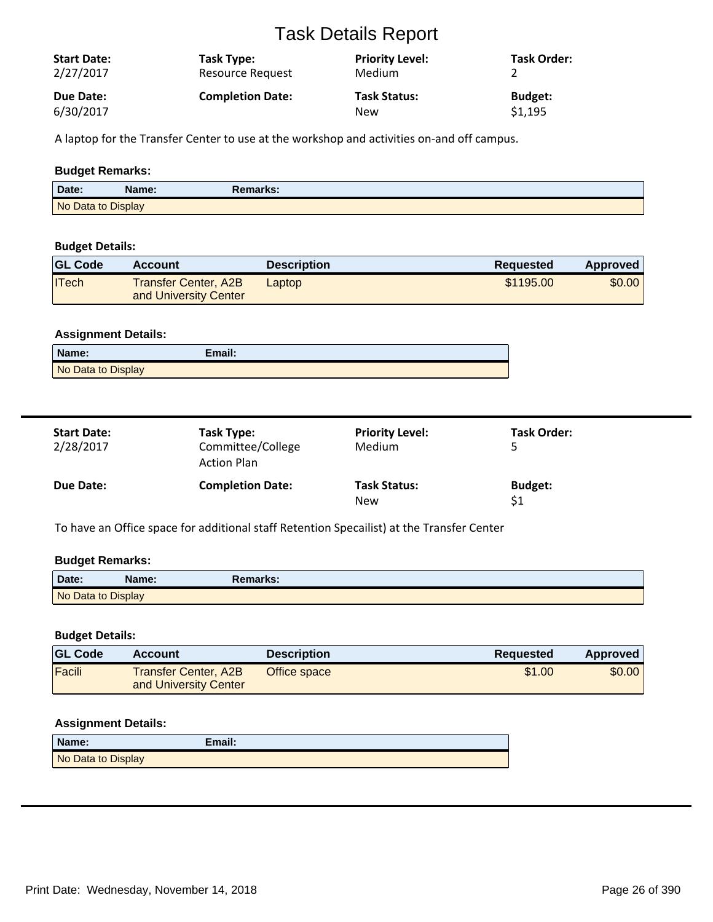| <b>Start Date:</b><br>2/27/2017 | Task Type:<br>Resource Request | <b>Priority Level:</b><br><b>Medium</b> | <b>Task Order:</b> |
|---------------------------------|--------------------------------|-----------------------------------------|--------------------|
| Due Date:                       | <b>Completion Date:</b>        | <b>Task Status:</b>                     | <b>Budget:</b>     |
| 6/30/2017                       |                                | New                                     | \$1,195            |

A laptop for the Transfer Center to use at the workshop and activities on-and off campus.

# **Budget Remarks:**

| Date:              | Name: | Remarks: |
|--------------------|-------|----------|
| No Data to Display |       |          |

## **Budget Details:**

| <b>GL Code</b> | <b>Account</b>                                | <b>Description</b> | <b>Requested</b> | <b>Approved</b> |
|----------------|-----------------------------------------------|--------------------|------------------|-----------------|
| <b>ITech</b>   | Transfer Center, A2B<br>and University Center | Laptop             | \$1195.00        | \$0.00          |

# **Assignment Details:**

| Name:              | Email: |
|--------------------|--------|
| No Data to Display |        |

| <b>Start Date:</b><br>2/28/2017 | Task Type:<br>Committee/College<br><b>Action Plan</b> | <b>Priority Level:</b><br>Medium  | Task Order:    |
|---------------------------------|-------------------------------------------------------|-----------------------------------|----------------|
| Due Date:                       | <b>Completion Date:</b>                               | <b>Task Status:</b><br><b>New</b> | <b>Budget:</b> |

To have an Office space for additional staff Retention Specailist) at the Transfer Center

# **Budget Remarks:**

| Date:              | Name: | <b>Remarks:</b> |  |
|--------------------|-------|-----------------|--|
| No Data to Display |       |                 |  |

## **Budget Details:**

| <b>GL Code</b> | Account                                              | <b>Description</b> | <b>Requested</b> | <b>Approved</b> |
|----------------|------------------------------------------------------|--------------------|------------------|-----------------|
| Facili         | <b>Transfer Center, A2B</b><br>and University Center | Office space       | \$1.00           | \$0.00          |

| Name:              | Email: |
|--------------------|--------|
| No Data to Display |        |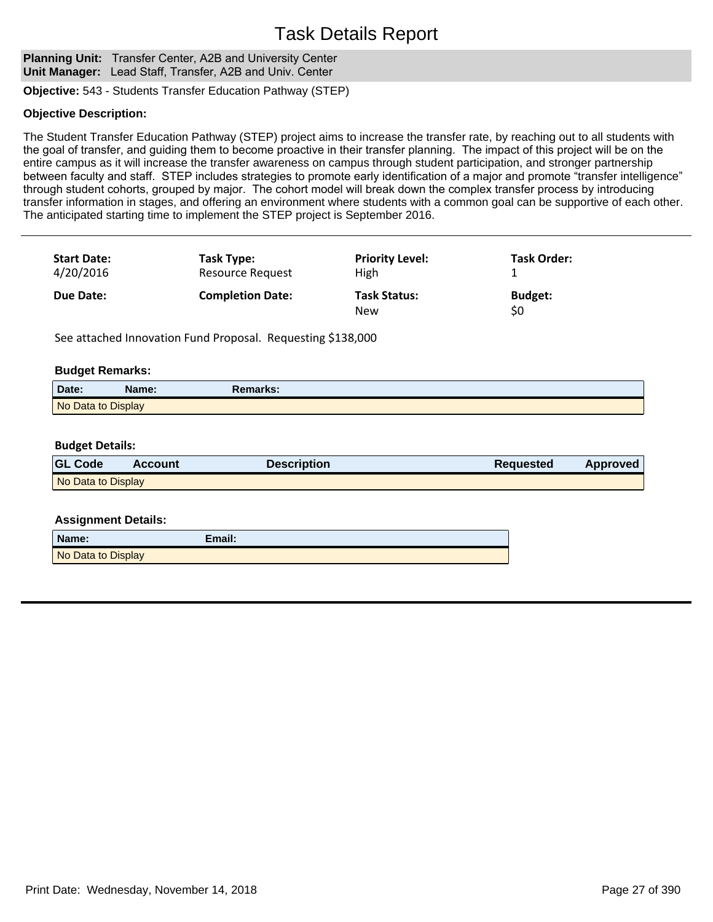**Planning Unit:** Transfer Center, A2B and University Center **Unit Manager:** Lead Staff, Transfer, A2B and Univ. Center

**Objective:** 543 - Students Transfer Education Pathway (STEP)

### **Objective Description:**

The Student Transfer Education Pathway (STEP) project aims to increase the transfer rate, by reaching out to all students with the goal of transfer, and guiding them to become proactive in their transfer planning. The impact of this project will be on the entire campus as it will increase the transfer awareness on campus through student participation, and stronger partnership between faculty and staff. STEP includes strategies to promote early identification of a major and promote "transfer intelligence" through student cohorts, grouped by major. The cohort model will break down the complex transfer process by introducing transfer information in stages, and offering an environment where students with a common goal can be supportive of each other. The anticipated starting time to implement the STEP project is September 2016.

| <b>Start Date:</b> | Task Type:              | <b>Priority Level:</b>     | Task Order:           |
|--------------------|-------------------------|----------------------------|-----------------------|
| 4/20/2016          | <b>Resource Request</b> | <b>High</b>                |                       |
| <b>Due Date:</b>   | <b>Completion Date:</b> | <b>Task Status:</b><br>New | <b>Budget:</b><br>\$0 |

See attached Innovation Fund Proposal. Requesting \$138,000

### **Budget Remarks:**

| Date.              | Name: | Remarks: |  |
|--------------------|-------|----------|--|
| No Data to Display |       |          |  |

### **Budget Details:**

| <b>GL Code</b>     | <b>Account</b> | <b>Description</b> | <b>Requested</b> | Approved |
|--------------------|----------------|--------------------|------------------|----------|
| No Data to Display |                |                    |                  |          |

| Name:              | Email: |
|--------------------|--------|
| No Data to Display |        |